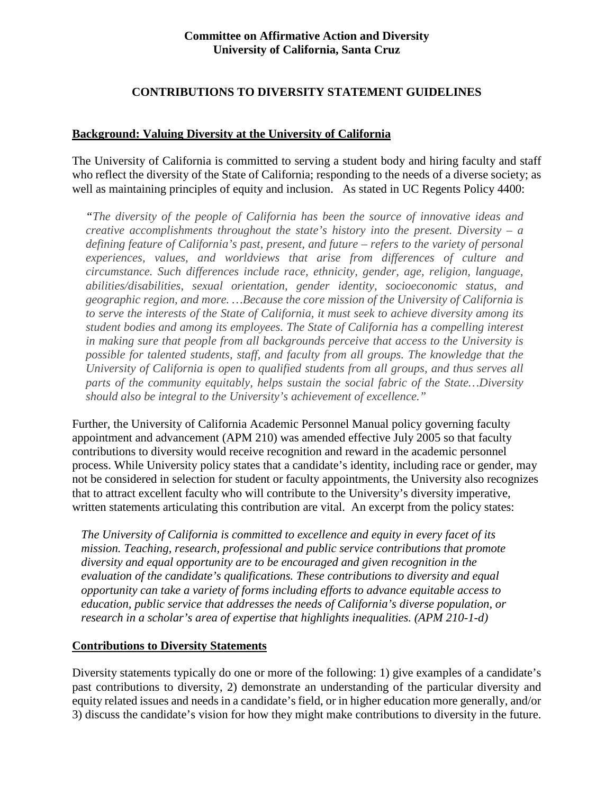## **Committee on Affirmative Action and Diversity University of California, Santa Cruz**

#### **CONTRIBUTIONS TO DIVERSITY STATEMENT GUIDELINES**

#### **Background: Valuing Diversity at the University of California**

The University of California is committed to serving a student body and hiring faculty and staff who reflect the diversity of the State of California; responding to the needs of a diverse society; as well as maintaining principles of equity and inclusion. As stated in UC Regents Policy 4400:

*"The diversity of the people of California has been the source of innovative ideas and creative accomplishments throughout the state's history into the present. Diversity – a defining feature of California's past, present, and future – refers to the variety of personal experiences, values, and worldviews that arise from differences of culture and circumstance. Such differences include race, ethnicity, gender, age, religion, language, abilities/disabilities, sexual orientation, gender identity, socioeconomic status, and geographic region, and more. …Because the core mission of the University of California is to serve the interests of the State of California, it must seek to achieve diversity among its student bodies and among its employees. The State of California has a compelling interest in making sure that people from all backgrounds perceive that access to the University is possible for talented students, staff, and faculty from all groups. The knowledge that the University of California is open to qualified students from all groups, and thus serves all parts of the community equitably, helps sustain the social fabric of the State…Diversity should also be integral to the University's achievement of excellence."*

Further, the University of California Academic Personnel Manual policy governing faculty appointment and advancement (APM 210) was amended effective July 2005 so that faculty contributions to diversity would receive recognition and reward in the academic personnel process. While University policy states that a candidate's identity, including race or gender, may not be considered in selection for student or faculty appointments, the University also recognizes that to attract excellent faculty who will contribute to the University's diversity imperative, written statements articulating this contribution are vital. An excerpt from the policy states:

*The University of California is committed to excellence and equity in every facet of its mission. Teaching, research, professional and public service contributions that promote diversity and equal opportunity are to be encouraged and given recognition in the evaluation of the candidate's qualifications. These contributions to diversity and equal opportunity can take a variety of forms including efforts to advance equitable access to education, public service that addresses the needs of California's diverse population, or research in a scholar's area of expertise that highlights inequalities. (APM 210-1-d)*

#### **Contributions to Diversity Statements**

Diversity statements typically do one or more of the following: 1) give examples of a candidate's past contributions to diversity, 2) demonstrate an understanding of the particular diversity and equity related issues and needs in a candidate's field, or in higher education more generally, and/or 3) discuss the candidate's vision for how they might make contributions to diversity in the future.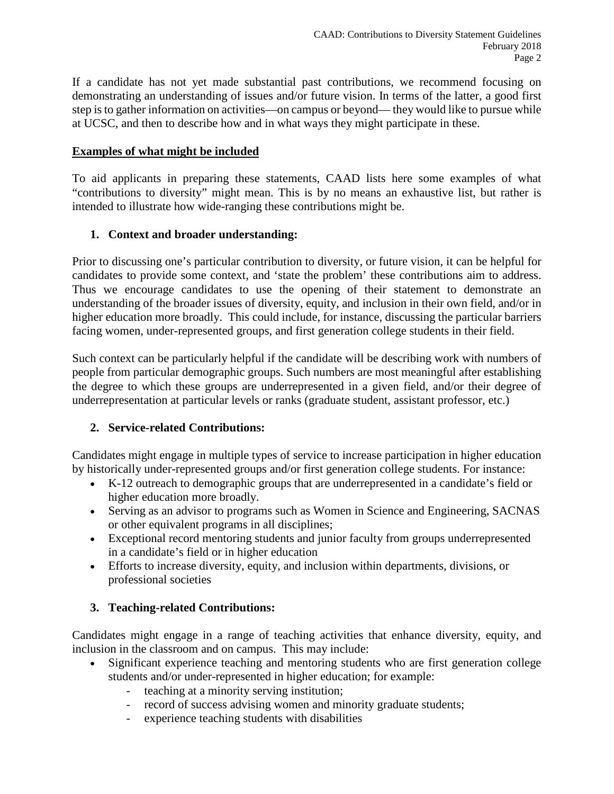If a candidate has not yet made substantial past contributions, we recommend focusing on demonstrating an understanding of issues and/or future vision. In terms of the latter, a good first step is to gather information on activities—on campus or beyond— they would like to pursue while at UCSC, and then to describe how and in what ways they might participate in these.

#### **Examples of what might be included**

To aid applicants in preparing these statements, CAAD lists here some examples of what "contributions to diversity" might mean. This is by no means an exhaustive list, but rather is intended to illustrate how wide-ranging these contributions might be.

## **1. Context and broader understanding:**

Prior to discussing one's particular contribution to diversity, or future vision, it can be helpful for candidates to provide some context, and 'state the problem' these contributions aim to address. Thus we encourage candidates to use the opening of their statement to demonstrate an understanding of the broader issues of diversity, equity, and inclusion in their own field, and/or in higher education more broadly. This could include, for instance, discussing the particular barriers facing women, under-represented groups, and first generation college students in their field.

Such context can be particularly helpful if the candidate will be describing work with numbers of people from particular demographic groups. Such numbers are most meaningful after establishing the degree to which these groups are underrepresented in a given field, and/or their degree of underrepresentation at particular levels or ranks (graduate student, assistant professor, etc.)

## **2. Service-related Contributions:**

Candidates might engage in multiple types of service to increase participation in higher education by historically under-represented groups and/or first generation college students. For instance:

- K-12 outreach to demographic groups that are underrepresented in a candidate's field or higher education more broadly.
- Serving as an advisor to programs such as Women in Science and Engineering, SACNAS or other equivalent programs in all disciplines;
- Exceptional record mentoring students and junior faculty from groups underrepresented in a candidate's field or in higher education
- Efforts to increase diversity, equity, and inclusion within departments, divisions, or professional societies

## **3. Teaching-related Contributions:**

Candidates might engage in a range of teaching activities that enhance diversity, equity, and inclusion in the classroom and on campus. This may include:

- Significant experience teaching and mentoring students who are first generation college students and/or under-represented in higher education; for example:
	- teaching at a minority serving institution;
	- record of success advising women and minority graduate students;
	- experience teaching students with disabilities